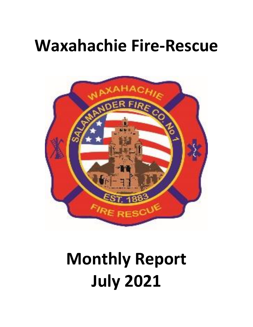## **Waxahachie Fire-Rescue**



# **Monthly Report July 2021**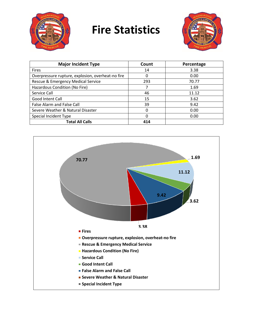

## **Fire Statistics**



| <b>Major Incident Type</b>                        | Count | Percentage |
|---------------------------------------------------|-------|------------|
| <b>Fires</b>                                      | 14    | 3.38       |
| Overpressure rupture, explosion, overheat-no fire | 0     | 0.00       |
| Rescue & Emergency Medical Service                | 293   | 70.77      |
| Hazardous Condition (No Fire)                     |       | 1.69       |
| Service Call                                      | 46    | 11.12      |
| Good Intent Call                                  | 15    | 3.62       |
| <b>False Alarm and False Call</b>                 | 39    | 9.42       |
| Severe Weather & Natural Disaster                 | ŋ     | 0.00       |
| Special Incident Type                             |       | 0.00       |
| <b>Total All Calls</b>                            | 414   |            |

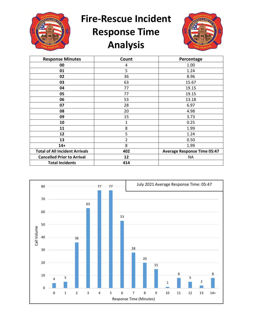

**Fire-Rescue Incident** 

### **Response Time Analysis**



| <b>Response Minutes</b>               | Count | Percentage                         |
|---------------------------------------|-------|------------------------------------|
| 00                                    | 4     | 1.00                               |
| 01                                    | 5     | 1.24                               |
| 02                                    | 36    | 8.96                               |
| 03                                    | 63    | 15.67                              |
| 04                                    | 77    | 19.15                              |
| 05                                    | 77    | 19.15                              |
| 06                                    | 53    | 13.18                              |
| 07                                    | 28    | 6.97                               |
| 08                                    | 20    | 4.98                               |
| 09                                    | 15    | 3.73                               |
| 10                                    | 1     | 0.25                               |
| 11                                    | 8     | 1.99                               |
| 12                                    | 5     | 1.24                               |
| 13                                    | 2     | 0.50                               |
| $14+$                                 | 8     | 1.99                               |
| <b>Total of All Incident Arrivals</b> | 402   | <b>Average Response Time 05:47</b> |
| <b>Cancelled Prior to Arrival</b>     | 12    | ΝA                                 |
| <b>Total Incidents</b>                | 414   |                                    |

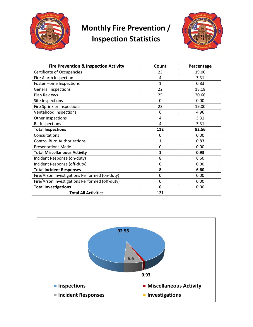

#### **Monthly Fire Prevention / Inspection Statistics**



| <b>Fire Prevention &amp; Inspection Activity</b> | Count        | Percentage |
|--------------------------------------------------|--------------|------------|
| Certificate of Occupancies                       | 23           | 19.00      |
| Fire Alarm Inspection                            | 4            | 3.31       |
| <b>Foster Home Inspections</b>                   | $\mathbf{1}$ | 0.83       |
| <b>General Inspections</b>                       | 22           | 18.18      |
| <b>Plan Reviews</b>                              | 25           | 20.66      |
| Site Inspections                                 | $\Omega$     | 0.00       |
| <b>Fire Sprinkler Inspections</b>                | 23           | 19.00      |
| Ventahood Inspections                            | 6            | 4.96       |
| Other Inspections                                | 4            | 3.31       |
| Re-Inspections                                   | 4            | 3.31       |
| <b>Total Inspections</b>                         | 112          | 92.56      |
| Consultations                                    | 0            | 0.00       |
| <b>Control Burn Authorizations</b>               | 1            | 0.83       |
| <b>Presentations Made</b>                        | 0            | 0.00       |
| <b>Total Miscellaneous Activity</b>              | 1            | 0.93       |
| Incident Response (on-duty)                      | 8            | 6.60       |
| Incident Response (off-duty)                     | 0            | 0.00       |
| <b>Total Incident Responses</b>                  | 8            | 6.60       |
| Fire/Arson Investigations Performed (on-duty)    | 0            | 0.00       |
| Fire/Arson Investigations Performed (off-duty)   | 0            | 0.00       |
| <b>Total Investigations</b>                      | 0            | 0.00       |
| <b>Total All Activities</b>                      | 121          |            |